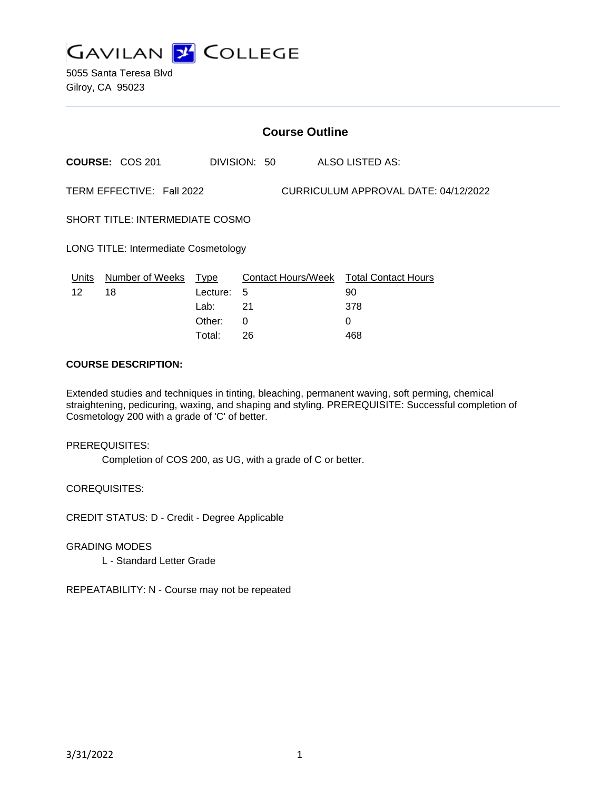

5055 Santa Teresa Blvd Gilroy, CA 95023

|                                                                   | <b>Course Outline</b>      |          |              |  |                                              |
|-------------------------------------------------------------------|----------------------------|----------|--------------|--|----------------------------------------------|
|                                                                   | <b>COURSE: COS 201</b>     |          | DIVISION: 50 |  | ALSO LISTED AS:                              |
| TERM EFFECTIVE: Fall 2022<br>CURRICULUM APPROVAL DATE: 04/12/2022 |                            |          |              |  |                                              |
| SHORT TITLE: INTERMEDIATE COSMO                                   |                            |          |              |  |                                              |
| <b>LONG TITLE: Intermediate Cosmetology</b>                       |                            |          |              |  |                                              |
| Units<br>12                                                       | Number of Weeks Type<br>18 | Lecture: | 5            |  | Contact Hours/Week Total Contact Hours<br>90 |
|                                                                   |                            | Lab:     | 21           |  | 378                                          |
|                                                                   |                            | Other:   | 0            |  | 0                                            |

Total: 26 468

### **COURSE DESCRIPTION:**

Extended studies and techniques in tinting, bleaching, permanent waving, soft perming, chemical straightening, pedicuring, waxing, and shaping and styling. PREREQUISITE: Successful completion of Cosmetology 200 with a grade of 'C' of better.

PREREQUISITES:

Completion of COS 200, as UG, with a grade of C or better.

COREQUISITES:

CREDIT STATUS: D - Credit - Degree Applicable

GRADING MODES

L - Standard Letter Grade

REPEATABILITY: N - Course may not be repeated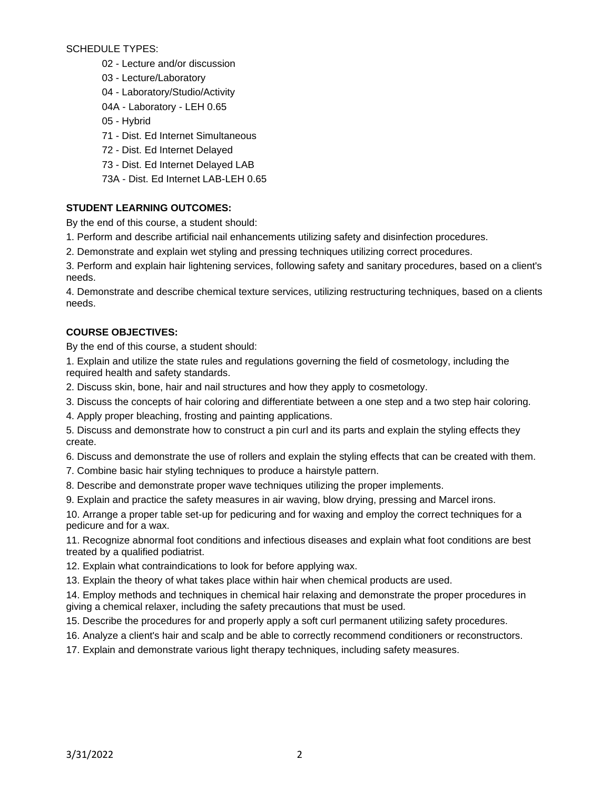SCHEDULE TYPES:

- 02 Lecture and/or discussion
- 03 Lecture/Laboratory
- 04 Laboratory/Studio/Activity
- 04A Laboratory LEH 0.65
- 05 Hybrid
- 71 Dist. Ed Internet Simultaneous
- 72 Dist. Ed Internet Delayed
- 73 Dist. Ed Internet Delayed LAB
- 73A Dist. Ed Internet LAB-LEH 0.65

# **STUDENT LEARNING OUTCOMES:**

By the end of this course, a student should:

- 1. Perform and describe artificial nail enhancements utilizing safety and disinfection procedures.
- 2. Demonstrate and explain wet styling and pressing techniques utilizing correct procedures.

3. Perform and explain hair lightening services, following safety and sanitary procedures, based on a client's needs.

4. Demonstrate and describe chemical texture services, utilizing restructuring techniques, based on a clients needs.

# **COURSE OBJECTIVES:**

By the end of this course, a student should:

- 1. Explain and utilize the state rules and regulations governing the field of cosmetology, including the required health and safety standards.
- 2. Discuss skin, bone, hair and nail structures and how they apply to cosmetology.
- 3. Discuss the concepts of hair coloring and differentiate between a one step and a two step hair coloring.
- 4. Apply proper bleaching, frosting and painting applications.
- 5. Discuss and demonstrate how to construct a pin curl and its parts and explain the styling effects they create.
- 6. Discuss and demonstrate the use of rollers and explain the styling effects that can be created with them.
- 7. Combine basic hair styling techniques to produce a hairstyle pattern.
- 8. Describe and demonstrate proper wave techniques utilizing the proper implements.
- 9. Explain and practice the safety measures in air waving, blow drying, pressing and Marcel irons.

10. Arrange a proper table set-up for pedicuring and for waxing and employ the correct techniques for a pedicure and for a wax.

11. Recognize abnormal foot conditions and infectious diseases and explain what foot conditions are best treated by a qualified podiatrist.

12. Explain what contraindications to look for before applying wax.

13. Explain the theory of what takes place within hair when chemical products are used.

14. Employ methods and techniques in chemical hair relaxing and demonstrate the proper procedures in giving a chemical relaxer, including the safety precautions that must be used.

15. Describe the procedures for and properly apply a soft curl permanent utilizing safety procedures.

- 16. Analyze a client's hair and scalp and be able to correctly recommend conditioners or reconstructors.
- 17. Explain and demonstrate various light therapy techniques, including safety measures.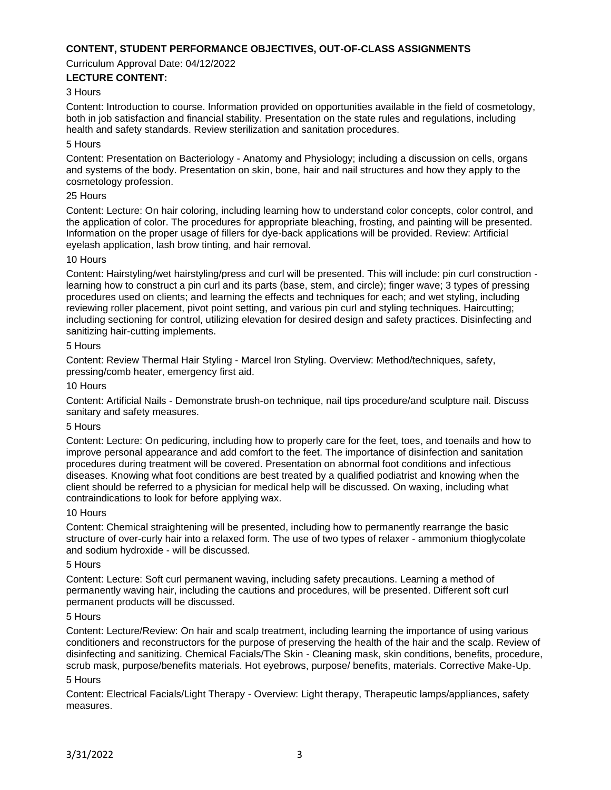## **CONTENT, STUDENT PERFORMANCE OBJECTIVES, OUT-OF-CLASS ASSIGNMENTS**

Curriculum Approval Date: 04/12/2022

### **LECTURE CONTENT:**

### 3 Hours

Content: Introduction to course. Information provided on opportunities available in the field of cosmetology, both in job satisfaction and financial stability. Presentation on the state rules and regulations, including health and safety standards. Review sterilization and sanitation procedures.

#### 5 Hours

Content: Presentation on Bacteriology - Anatomy and Physiology; including a discussion on cells, organs and systems of the body. Presentation on skin, bone, hair and nail structures and how they apply to the cosmetology profession.

#### 25 Hours

Content: Lecture: On hair coloring, including learning how to understand color concepts, color control, and the application of color. The procedures for appropriate bleaching, frosting, and painting will be presented. Information on the proper usage of fillers for dye-back applications will be provided. Review: Artificial eyelash application, lash brow tinting, and hair removal.

#### 10 Hours

Content: Hairstyling/wet hairstyling/press and curl will be presented. This will include: pin curl construction learning how to construct a pin curl and its parts (base, stem, and circle); finger wave; 3 types of pressing procedures used on clients; and learning the effects and techniques for each; and wet styling, including reviewing roller placement, pivot point setting, and various pin curl and styling techniques. Haircutting; including sectioning for control, utilizing elevation for desired design and safety practices. Disinfecting and sanitizing hair-cutting implements.

#### 5 Hours

Content: Review Thermal Hair Styling - Marcel Iron Styling. Overview: Method/techniques, safety, pressing/comb heater, emergency first aid.

#### 10 Hours

Content: Artificial Nails - Demonstrate brush-on technique, nail tips procedure/and sculpture nail. Discuss sanitary and safety measures.

#### 5 Hours

Content: Lecture: On pedicuring, including how to properly care for the feet, toes, and toenails and how to improve personal appearance and add comfort to the feet. The importance of disinfection and sanitation procedures during treatment will be covered. Presentation on abnormal foot conditions and infectious diseases. Knowing what foot conditions are best treated by a qualified podiatrist and knowing when the client should be referred to a physician for medical help will be discussed. On waxing, including what contraindications to look for before applying wax.

#### 10 Hours

Content: Chemical straightening will be presented, including how to permanently rearrange the basic structure of over-curly hair into a relaxed form. The use of two types of relaxer - ammonium thioglycolate and sodium hydroxide - will be discussed.

#### 5 Hours

Content: Lecture: Soft curl permanent waving, including safety precautions. Learning a method of permanently waving hair, including the cautions and procedures, will be presented. Different soft curl permanent products will be discussed.

#### 5 Hours

Content: Lecture/Review: On hair and scalp treatment, including learning the importance of using various conditioners and reconstructors for the purpose of preserving the health of the hair and the scalp. Review of disinfecting and sanitizing. Chemical Facials/The Skin - Cleaning mask, skin conditions, benefits, procedure, scrub mask, purpose/benefits materials. Hot eyebrows, purpose/ benefits, materials. Corrective Make-Up.

## 5 Hours

Content: Electrical Facials/Light Therapy - Overview: Light therapy, Therapeutic lamps/appliances, safety measures.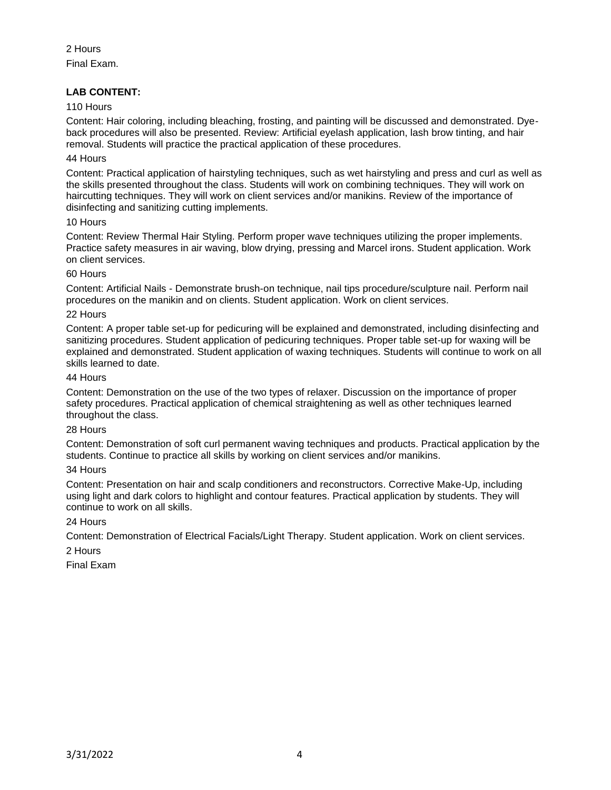2 Hours Final Exam.

# **LAB CONTENT:**

### 110 Hours

Content: Hair coloring, including bleaching, frosting, and painting will be discussed and demonstrated. Dyeback procedures will also be presented. Review: Artificial eyelash application, lash brow tinting, and hair removal. Students will practice the practical application of these procedures.

### 44 Hours

Content: Practical application of hairstyling techniques, such as wet hairstyling and press and curl as well as the skills presented throughout the class. Students will work on combining techniques. They will work on haircutting techniques. They will work on client services and/or manikins. Review of the importance of disinfecting and sanitizing cutting implements.

### 10 Hours

Content: Review Thermal Hair Styling. Perform proper wave techniques utilizing the proper implements. Practice safety measures in air waving, blow drying, pressing and Marcel irons. Student application. Work on client services.

### 60 Hours

Content: Artificial Nails - Demonstrate brush-on technique, nail tips procedure/sculpture nail. Perform nail procedures on the manikin and on clients. Student application. Work on client services.

### 22 Hours

Content: A proper table set-up for pedicuring will be explained and demonstrated, including disinfecting and sanitizing procedures. Student application of pedicuring techniques. Proper table set-up for waxing will be explained and demonstrated. Student application of waxing techniques. Students will continue to work on all skills learned to date.

### 44 Hours

Content: Demonstration on the use of the two types of relaxer. Discussion on the importance of proper safety procedures. Practical application of chemical straightening as well as other techniques learned throughout the class.

# 28 Hours

Content: Demonstration of soft curl permanent waving techniques and products. Practical application by the students. Continue to practice all skills by working on client services and/or manikins.

# 34 Hours

Content: Presentation on hair and scalp conditioners and reconstructors. Corrective Make-Up, including using light and dark colors to highlight and contour features. Practical application by students. They will continue to work on all skills.

# 24 Hours

Content: Demonstration of Electrical Facials/Light Therapy. Student application. Work on client services.

### 2 Hours

Final Exam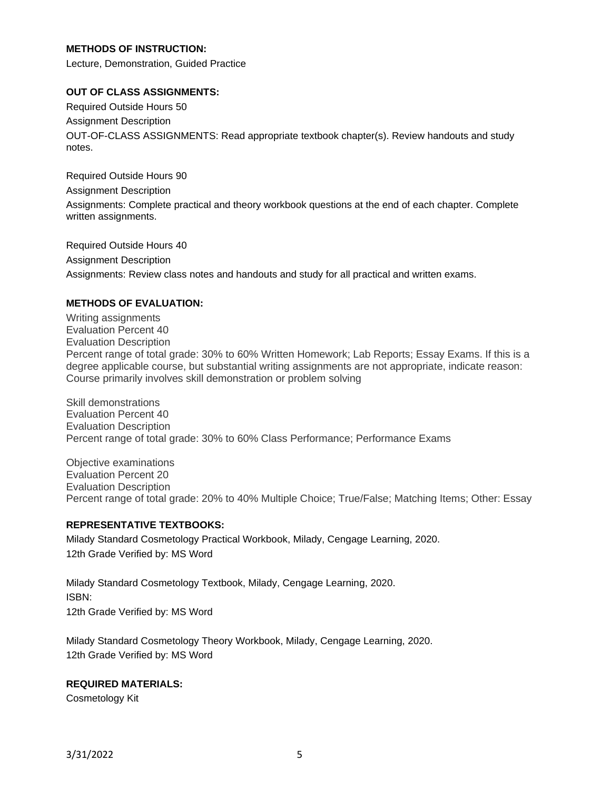# **METHODS OF INSTRUCTION:**

Lecture, Demonstration, Guided Practice

### **OUT OF CLASS ASSIGNMENTS:**

Required Outside Hours 50 Assignment Description OUT-OF-CLASS ASSIGNMENTS: Read appropriate textbook chapter(s). Review handouts and study notes.

Required Outside Hours 90 Assignment Description Assignments: Complete practical and theory workbook questions at the end of each chapter. Complete written assignments.

Required Outside Hours 40 Assignment Description Assignments: Review class notes and handouts and study for all practical and written exams.

### **METHODS OF EVALUATION:**

Writing assignments Evaluation Percent 40 Evaluation Description Percent range of total grade: 30% to 60% Written Homework; Lab Reports; Essay Exams. If this is a degree applicable course, but substantial writing assignments are not appropriate, indicate reason: Course primarily involves skill demonstration or problem solving

Skill demonstrations Evaluation Percent 40 Evaluation Description Percent range of total grade: 30% to 60% Class Performance; Performance Exams

Objective examinations Evaluation Percent 20 Evaluation Description Percent range of total grade: 20% to 40% Multiple Choice; True/False; Matching Items; Other: Essay

### **REPRESENTATIVE TEXTBOOKS:**

Milady Standard Cosmetology Practical Workbook, Milady, Cengage Learning, 2020. 12th Grade Verified by: MS Word

Milady Standard Cosmetology Textbook, Milady, Cengage Learning, 2020. ISBN: 12th Grade Verified by: MS Word

Milady Standard Cosmetology Theory Workbook, Milady, Cengage Learning, 2020. 12th Grade Verified by: MS Word

### **REQUIRED MATERIALS:**

Cosmetology Kit